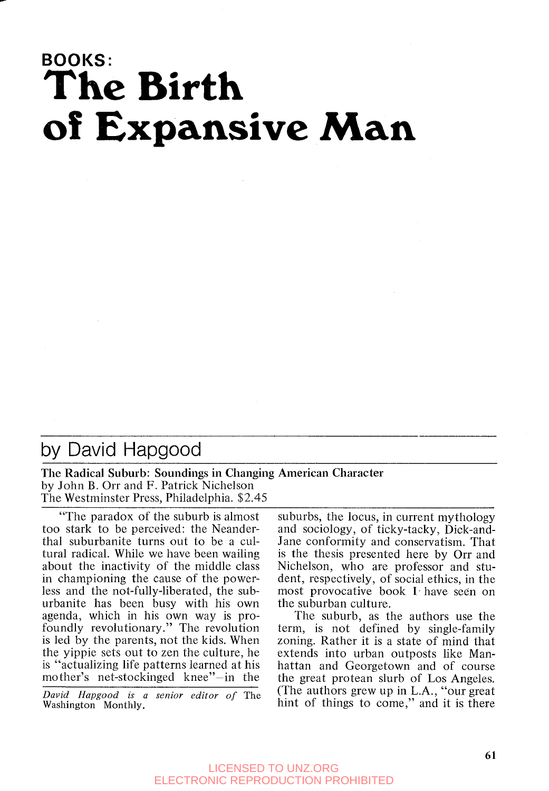# **BOOKS: The Birth of Expansive Man**

## by David Hapgood

The Radical Suburb: Soundings in Changing American Character by John B. Orr and F. Patrick Nichelson The Westminster Press, Philadelphia. \$2.45

"The paradox of the suburb is almost too stark to be perceived: the Neanderthal suburbanite turns out to be a cultural radical. While we have been wailing about the inactivity of the middle class in championing the cause of the powerless and the not-fully-liberated, the suburbanite has been busy with his own agenda, which in his own way is profoundly revolutionary." The revolution is led by the parents, not the kids. When the yippie sets out to Zen the culture, he is "actualizing life patterns learned at his mother's net-stockinged knee"-in the

*David Hapgood is a senior editor* of The Washington Monthly.

suburbs, the locus, in current mythology and sociology, of ticky-tacky, Dick-and-Jane conformity and conservatism. That is the thesis presented here by Orr and Nichelson, who are professor and student, respectively, of social ethics, in the most provocative book I have seen on the suburban culture.

The suburb, as the authors use the term, is not defined by single-family zoning. Rather it is a state of mind that extends into urban outposts like Manhattan and Georgetown and of course the great protean slurb of Los Angeles. (The authors grew up in L.A., "our great hint of things to come," and it is there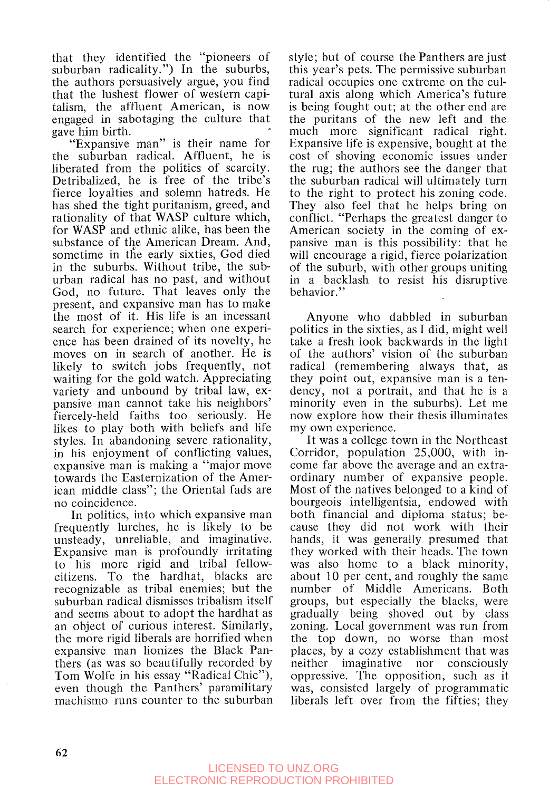that they identified the "pioneers of suburban radicality.") In the suburbs, the authors persuasively argue, you find that the lushest flower of western capitalism, the affluent American, is now engaged in sabotaging the culture that gave him birth.

"Expansive man" is their name for the suburban radical. Affluent, he is liberated from the politics of scarcity. Detribalized, he is free of the tribe's fierce loyalties and solemn hatreds. He has shed the tight puritanism, greed, and rationality of that WASP culture which, for WASP and ethnic alike, has been the substance of the American Dream. And, sometime in the early sixties, God died in the suburbs. Without tribe, the suburban radical has no past, and without God, no future. That leaves only the present, and expansive man has to make the most of it. His life is an incessant search for experience; when one experience has been drained of its novelty, he moves on in search of another. He is likely to switch jobs frequently, not waiting for the gold watch. Appreciating variety and unbound by tribal law, expansive man cannot take his neighbors' fiercely-held faiths too seriously. He likes to play both with beliefs and life styles. In abandoning severe rationality, in his enjoyment of conflicting values, expansive man is making a "major move towards the Easternization of the American middle class"; the Oriental fads are no coincidence.

In politics, into which expansive man frequently lurches, he is likely to be unsteady, unreliable, and imaginative. Expansive man is profoundly irritating to his more rigid and tribal fellowcitizens. To the hardhat, blacks are recognizable as tribal enemies; but the suburban radical dismisses tribalism itself and seems about to adopt the hardhat as an object of curious interest. Similarly, the more rigid liberals are horrified when expansive man lionizes the Black Panthers (as was so beautifully recorded by Tom Wolfe in his essay "Radical Chic"), even though the Panthers' paramilitary machismo runs counter to the suburban style; but of course the Panthers are just this year's pets. The permissive suburban radical occupies one extreme on the cultural axis along which America's future is being fought out; at the other end are the puritans of the new left and the much more significant radical right. Expansive life is expensive, bought at the cost of shoving economic issues under the rug; the authors see the danger that the suburban radical will ultimately turn to the right to protect his zoning code. They also feel that he helps bring on conflict. "Perhaps the greatest danger to American society in the coming of expansive man is this possibility: that he will encourage a rigid, fierce polarization of the suburb, with other groups uniting in a backlash to resist his disruptive behavior. ''

Anyone who dabbled in suburban politics in the sixties, as I did, might well take a fresh look backwards in the light of the authors' vision of the suburban radical (remembering always that, as they point out, expansive man is a tendency, not a portrait, and that he is a minority even in the suburbs). Let me now explore how their thesis illuminates my own experience.

It was a college town in the Northeast Corridor, population 25,000, with income far above the average and an extraordinary number of expansive people. Most of the natives belonged to a kind of bourgeois intelligentsia, endowed with both financial and diploma status; because they did not work with their hands, it was generally presumed that they worked with their heads. The town was also home to a black minority, about 10 per cent, and roughly the same number of Middle Americans. Both groups, but especially the blacks, were gradually being shoved out by class zoning. Local government was run from the top down, no worse than most places, by a cozy establishment that was neither imaginative nor consciously oppressive. The opposition, such as it was, consisted largely of programmatic liberals left over from the fifties; they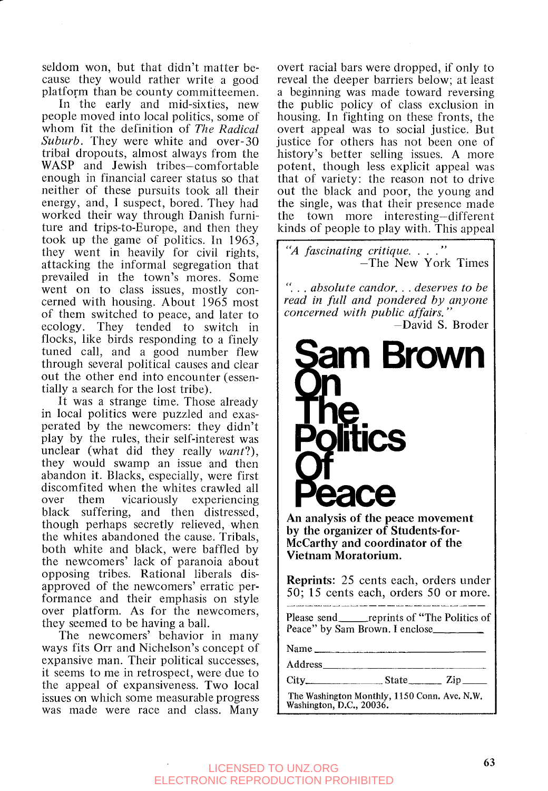seldom won, but that didn't matter because they would rather write a good platform than be county committeemen.

In the early and mid-sixties, new people moved into local politics, some of whom fit the definition of *The Radical Suburb.* They were white and over-30 tribal dropouts, almost always from the WASP and Jewish tribes-comfortable enough in financial career status so that neither of these pursuits took all their energy, and, I suspect, bored. They had worked their way through Danish furniture and trips-to-Europe, and then they took up the game of politics. In 1963, they went in heavily for civil rights, attacking the informal segregation that prevailed in the town's mores. Some went on to class issues, mostly concerned with housing. About 1965 most of them switched to peace, and later to ecology. They tended to switch in flocks, like birds responding to a finely tuned call, and a good number flew through several political causes and clear out the other end into encounter (essentially a search for the lost tribe).

It was a strange time. Those already in local politics were puzzled and exasperated by the newcomers: they didn't play by the rules, their self-interest was unclear (what did they really *want?),*  they would swamp an issue and then abandon it. Blacks, especially, were first discomfited when the whites crawled all over them vicariously experiencing black suffering, and then distressed, though perhaps secretly relieved, when the whites abandoned the cause. Tribals, both white and black, were baffled by the newcomers' lack of paranoia about opposing tribes. Rational liberals disapproved of the newcomers' erratic performance and their emphasis on style over platform. As for the newcomers, they seemed to be having a ball.

The newcomers' behavior in many ways fits Orr and Nichelson's concept of expansive man. Their political successes, it seems to me in retrospect, were due to the appeal of expansiveness. Two local issues on which some measurable progress was made were race and class. Many

overt racial bars were dropped, if only to reveal the deeper barriers below; at least a beginning was made toward reversing the public policy of class exclusion in housing. In fighting on these fronts, the overt appeal was to social justice. But justice for others has not been one of history's better selling issues. **A** more potent, though less explicit appeal was that of variety: the reason not to drive out the black and poor, the young and the single, was that their presence made the town more interesting-different kinds of people to play with. This appeal

"*A fascinating critique.* . . ."<br>
—The New York Times

". . . *absolute candor.* . . *deserves to be read in full and pondered by anyone concerned with public affairs,* ''

-David **S.** Broder



**An analysis of the peace movement by the organizer of Students-for-McCarthy and coordinator of the Vietnam Moratorium.** 

**Reprints:** 25 cents each, orders under 50; 15 cents each, orders 50 or more.

Please send<br>
<u>reprints</u> of "The Politics of Peace" by Sam Brown. I enclose\_\_\_\_\_

**Name** 

**Address** 

**City** s state- **Zip-**

**The Washington Monthly,** 1150 Conn. **Ave. N.W. Washington, D.C., 20036.** 

### **<sup>63</sup>**LICENSED TO UNZ.ORG ELECTRONIC REPRODUCTION PROHIBITED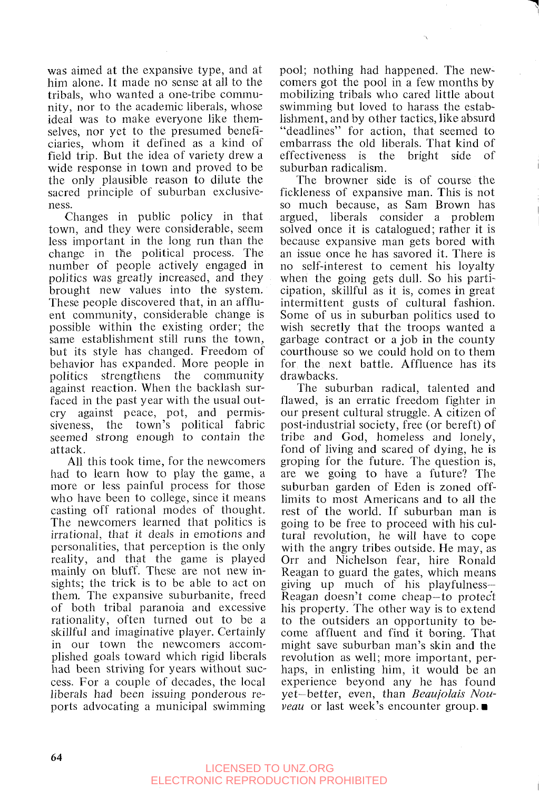was aimed at the expansive type, and at him alone. It made no sense at all to the tribals, who wanted a one-tribe community, nor to the academic liberals, whose ideal was to make everyone like themselves, nor yet to the presumed beneficiaries, whom it dcfined as a kind of field trip. But the idea of variety drew a wide response in town and proved to be the only plausible reason to dilute the sacred principle of suburban exclusiveness.

Changes in public policy in that town, and they were considerable, seem less important in the long run than the change in the political process. The number of people actively engaged in politics was greatly increased, and they brought new values into the system. These people discovered that, in an affluent community, considerable change is possible within the existing order; the same establishment still runs the town, but its style has changed. Freedom of behavior has expanded. More people in politics strengthens the community against reaction. When the backlash surfaced in the past year with the usual outcry against pcace, pot, and permissiveness, the town's political fabric seemed strong enough to contain the attack.

All this took time, for the newcomers had to learn how to play the game, a more or less painful process for those who have been to college, since it means casting off rational modes of thought. The newcomers learned that politics is irrational, that it deals in emotions and personalities, that perception is the only reality, and that the game is played mainly on bluff. These are not new insights; the trick is to be able to act on them. The expansive suburbanite, freed of both tribal paranoia and excessive rationality, often turned out to be a skillful and imaginative player. Certainly in our town the newcomers accomplished goals toward which rigid liberals had been striving for years without success. For a couple of decades, the local liberals had been issuing ponderous reports advocating a municipal swimming

pool; nothing had happened. The newcomers got the pool in a few months by mobilizing tribals who cared little about swimming but loved to harass the establishment, and by other tactics, like absurd "deadlines" for action, that seemed to embarrass the old liberals. That kind of effectiveness is the bright side of suburban radicalism.

The browner side is of course the ficklencss of expansive man. This is not so much because, as Sam Brown has argued, liberals consider a problem solved once it is catalogued; rather it is because expansive man gets bored with an issue once he has savored it. There is no self-interest to cement his loyalty when the going gets dull. So his participation, skillful as it is, comes in great intermittent gusts of cultural fashion. Some of us in suburban politics used to wish secretly that the troops wanted a garbage contract or a job in the county courthouse so we could hold on to them for the next battle. Affluence has its drawbacks.

The suburban radical, talented and flawed, is an erratic freedom fighter in our present cultural struggle. A citizen of post-industrial society, free (or bereft) of tribe and God, homeless and lonely, fond of living and scared of dying, he is groping for the future. The question is, are we going to have a future? The suburban garden of Eden is zoned offlimits to most Americans and to all the rest of the world. If suburban man is going to be free to proceed with his cultural revolution, he will have to cope with the angry tribes outside. He may, as Orr and Nichelson fear, hire Ronald Reagan to guard the gates, which means giving up much of his playfulness-Reagan doesn't come cheap-to protec't his property. The other way is to extend to the outsiders an opportunity to become affluent and find it boring. That might save suburban man's skin and the revolution as well; more important, perhaps, in enlisting him, it would be an experience beyond any he has found yet-better, even, than *Beaujolais Nouveau* or last week's encounter group.